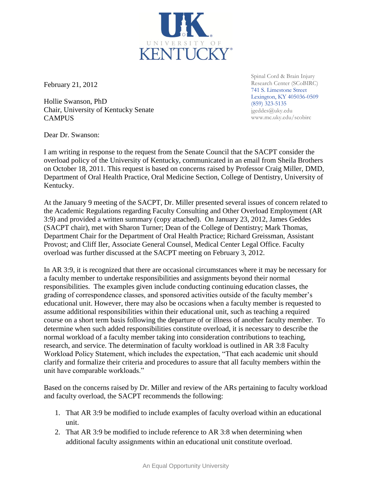February 21, 2012

Hollie Swanson, PhD Chair, University of Kentucky Senate **CAMPUS** 

Spinal Cord & Brain Injury Research Center (SCoBIRC) 741 S. Limestone Street Lexington, KY 405036-0509 (859) 323-5135 jgeddes@uky.edu www.mc.uky.edu/scobirc

Dear Dr. Swanson:

I am writing in response to the request from the Senate Council that the SACPT consider the overload policy of the University of Kentucky, communicated in an email from Sheila Brothers on October 18, 2011. This request is based on concerns raised by Professor Craig Miller, DMD, Department of Oral Health Practice, Oral Medicine Section, College of Dentistry, University of Kentucky.

At the January 9 meeting of the SACPT, Dr. Miller presented several issues of concern related to the Academic Regulations regarding Faculty Consulting and Other Overload Employment (AR 3:9) and provided a written summary (copy attached). On January 23, 2012, James Geddes (SACPT chair), met with Sharon Turner; Dean of the College of Dentistry; Mark Thomas, Department Chair for the Department of Oral Health Practice; Richard Greissman, Assistant Provost; and Cliff Iler, Associate General Counsel, Medical Center Legal Office. Faculty overload was further discussed at the SACPT meeting on February 3, 2012.

In AR 3:9, it is recognized that there are occasional circumstances where it may be necessary for a faculty member to undertake responsibilities and assignments beyond their normal responsibilities. The examples given include conducting continuing education classes, the grading of correspondence classes, and sponsored activities outside of the faculty member's educational unit. However, there may also be occasions when a faculty member is requested to assume additional responsibilities within their educational unit, such as teaching a required course on a short term basis following the departure of or illness of another faculty member. To determine when such added responsibilities constitute overload, it is necessary to describe the normal workload of a faculty member taking into consideration contributions to teaching, research, and service. The determination of faculty workload is outlined in AR 3:8 Faculty Workload Policy Statement, which includes the expectation, "That each academic unit should clarify and formalize their criteria and procedures to assure that all faculty members within the unit have comparable workloads."

Based on the concerns raised by Dr. Miller and review of the ARs pertaining to faculty workload and faculty overload, the SACPT recommends the following:

- 1. That AR 3:9 be modified to include examples of faculty overload within an educational unit.
- 2. That AR 3:9 be modified to include reference to AR 3:8 when determining when additional faculty assignments within an educational unit constitute overload.

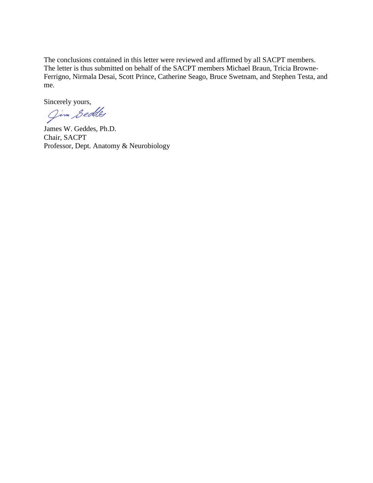The conclusions contained in this letter were reviewed and affirmed by all SACPT members. The letter is thus submitted on behalf of the SACPT members Michael Braun, Tricia Browne-Ferrigno, Nirmala Desai, Scott Prince, Catherine Seago, Bruce Swetnam, and Stephen Testa, and me.

Sincerely yours,<br>Jim Sedde

James W. Geddes, Ph.D. Chair, SACPT Professor, Dept. Anatomy & Neurobiology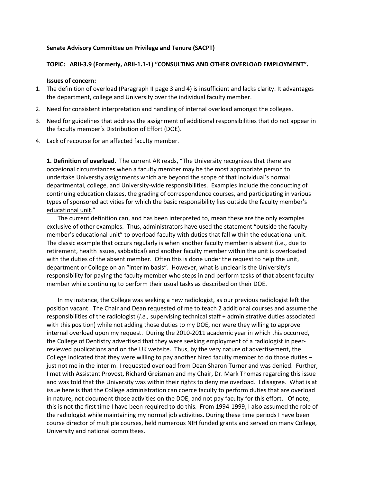## **Senate Advisory Committee on Privilege and Tenure (SACPT)**

## **TOPIC: ARII-3.9 (Formerly, ARII-1.1-1) "CONSULTING AND OTHER OVERLOAD EMPLOYMENT".**

## **Issues of concern:**

- 1. The definition of overload (Paragraph II page 3 and 4) is insufficient and lacks clarity. It advantages the department, college and University over the individual faculty member.
- 2. Need for consistent interpretation and handling of internal overload amongst the colleges.
- 3. Need for guidelines that address the assignment of additional responsibilities that do not appear in the faculty member's Distribution of Effort (DOE).
- 4. Lack of recourse for an affected faculty member.

**1. Definition of overload.** The current AR reads, "The University recognizes that there are occasional circumstances when a faculty member may be the most appropriate person to undertake University assignments which are beyond the scope of that individual's normal departmental, college, and University-wide responsibilities. Examples include the conducting of continuing education classes, the grading of correspondence courses, and participating in various types of sponsored activities for which the basic responsibility lies outside the faculty member's educational unit."

The current definition can, and has been interpreted to, mean these are the only examples exclusive of other examples. Thus, administrators have used the statement "outside the faculty member's educational unit" to overload faculty with duties that fall within the educational unit. The classic example that occurs regularly is when another faculty member is absent (i.e., due to retirement, health issues, sabbatical) and another faculty member within the unit is overloaded with the duties of the absent member. Often this is done under the request to help the unit, department or College on an "interim basis". However, what is unclear is the University's responsibility for paying the faculty member who steps in and perform tasks of that absent faculty member while continuing to perform their usual tasks as described on their DOE.

In my instance, the College was seeking a new radiologist, as our previous radiologist left the position vacant. The Chair and Dean requested of me to teach 2 additional courses and assume the responsibilities of the radiologist (*i.e.,* supervising technical staff + administrative duties associated with this position) while not adding those duties to my DOE, nor were they willing to approve internal overload upon my request. During the 2010-2011 academic year in which this occurred, the College of Dentistry advertised that they were seeking employment of a radiologist in peerreviewed publications and on the UK website. Thus, by the very nature of advertisement, the College indicated that they were willing to pay another hired faculty member to do those duties – just not me in the interim. I requested overload from Dean Sharon Turner and was denied. Further, I met with Assistant Provost, Richard Greisman and my Chair, Dr. Mark Thomas regarding this issue and was told that the University was within their rights to deny me overload. I disagree. What is at issue here is that the College administration can coerce faculty to perform duties that are overload in nature, not document those activities on the DOE, and not pay faculty for this effort. Of note, this is not the first time I have been required to do this. From 1994-1999, I also assumed the role of the radiologist while maintaining my normal job activities. During these time periods I have been course director of multiple courses, held numerous NIH funded grants and served on many College, University and national committees.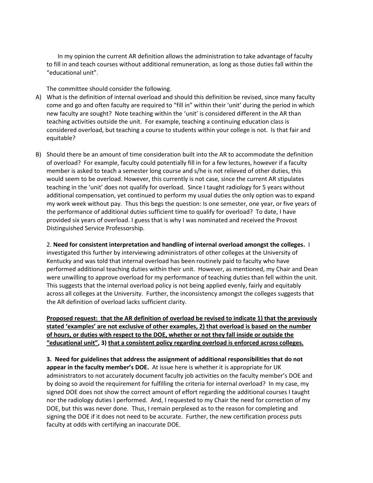In my opinion the current AR definition allows the administration to take advantage of faculty to fill in and teach courses without additional remuneration, as long as those duties fall within the "educational unit".

The committee should consider the following.

- A) What is the definition of internal overload and should this definition be revised, since many faculty come and go and often faculty are required to "fill in" within their 'unit' during the period in which new faculty are sought? Note teaching within the 'unit' is considered different in the AR than teaching activities outside the unit. For example, teaching a continuing education class is considered overload, but teaching a course to students within your college is not. Is that fair and equitable?
- B) Should there be an amount of time consideration built into the AR to accommodate the definition of overload? For example, faculty could potentially fill in for a few lectures, however if a faculty member is asked to teach a semester long course and s/he is not relieved of other duties, this would seem to be overload. However, this currently is not case, since the current AR stipulates teaching in the 'unit' does not qualify for overload. Since I taught radiology for 5 years without additional compensation, yet continued to perform my usual duties the only option was to expand my work week without pay. Thus this begs the question: Is one semester, one year, or five years of the performance of additional duties sufficient time to qualify for overload? To date, I have provided six years of overload. I guess that is why I was nominated and received the Provost Distinguished Service Professorship.

2. **Need for consistent interpretation and handling of internal overload amongst the colleges.** I investigated this further by interviewing administrators of other colleges at the University of Kentucky and was told that internal overload has been routinely paid to faculty who have performed additional teaching duties within their unit. However, as mentioned, my Chair and Dean were unwilling to approve overload for my performance of teaching duties than fell within the unit. This suggests that the internal overload policy is not being applied evenly, fairly and equitably across all colleges at the University. Further, the inconsistency amongst the colleges suggests that the AR definition of overload lacks sufficient clarity.

**Proposed request: that the AR definition of overload be revised to indicate 1) that the previously stated 'examples' are not exclusive of other examples, 2) that overload is based on the number of hours, or duties with respect to the DOE, whether or not they fall inside or outside the "educational unit", 3) that a consistent policy regarding overload is enforced across colleges.**

**3. Need for guidelines that address the assignment of additional responsibilities that do not appear in the faculty member's DOE.** At issue here is whether it is appropriate for UK administrators to not accurately document faculty job activities on the faculty member's DOE and by doing so avoid the requirement for fulfilling the criteria for internal overload? In my case, my signed DOE does not show the correct amount of effort regarding the additional courses I taught nor the radiology duties I performed. And, I requested to my Chair the need for correction of my DOE, but this was never done. Thus, I remain perplexed as to the reason for completing and signing the DOE if it does not need to be accurate. Further, the new certification process puts faculty at odds with certifying an inaccurate DOE.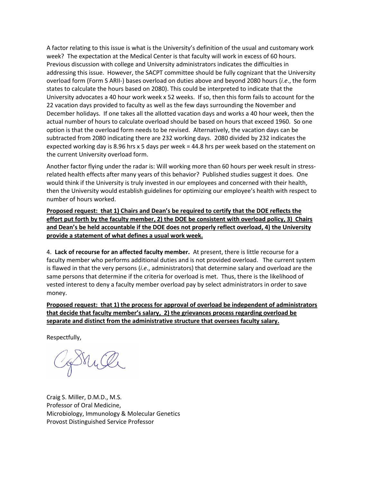A factor relating to this issue is what is the University's definition of the usual and customary work week? The expectation at the Medical Center is that faculty will work in excess of 60 hours. Previous discussion with college and University administrators indicates the difficulties in addressing this issue. However, the SACPT committee should be fully cognizant that the University overload form (Form S ARII-) bases overload on duties above and beyond 2080 hours (*i.e*., the form states to calculate the hours based on 2080). This could be interpreted to indicate that the University advocates a 40 hour work week x 52 weeks. If so, then this form fails to account for the 22 vacation days provided to faculty as well as the few days surrounding the November and December holidays. If one takes all the allotted vacation days and works a 40 hour week, then the actual number of hours to calculate overload should be based on hours that exceed 1960. So one option is that the overload form needs to be revised. Alternatively, the vacation days can be subtracted from 2080 indicating there are 232 working days. 2080 divided by 232 indicates the expected working day is 8.96 hrs x 5 days per week = 44.8 hrs per week based on the statement on the current University overload form.

Another factor flying under the radar is: Will working more than 60 hours per week result in stressrelated health effects after many years of this behavior? Published studies suggest it does. One would think if the University is truly invested in our employees and concerned with their health, then the University would establish guidelines for optimizing our employee's health with respect to number of hours worked.

**Proposed request: that 1) Chairs and Dean's be required to certify that the DOE reflects the effort put forth by the faculty member, 2) the DOE be consistent with overload policy, 3) Chairs and Dean's be held accountable if the DOE does not properly reflect overload, 4) the University provide a statement of what defines a usual work week.**

4. **Lack of recourse for an affected faculty member.** At present, there is little recourse for a faculty member who performs additional duties and is not provided overload. The current system is flawed in that the very persons (*i.e*., administrators) that determine salary and overload are the same persons that determine if the criteria for overload is met. Thus, there is the likelihood of vested interest to deny a faculty member overload pay by select administrators in order to save money.

**Proposed request: that 1) the process for approval of overload be independent of administrators that decide that faculty member's salary, 2) the grievances process regarding overload be separate and distinct from the administrative structure that oversees faculty salary.**

Respectfully,

Bruce

Craig S. Miller, D.M.D., M.S. Professor of Oral Medicine, Microbiology, Immunology & Molecular Genetics Provost Distinguished Service Professor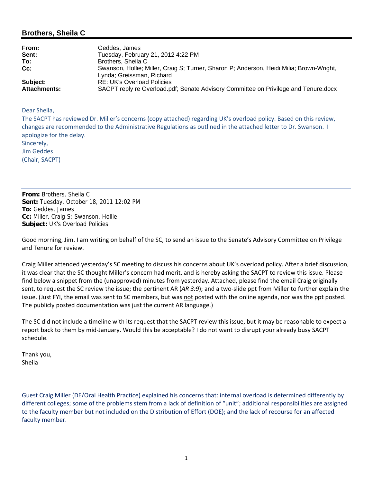## **Brothers, Sheila C**

| From:               | Geddes, James                                                                                                         |
|---------------------|-----------------------------------------------------------------------------------------------------------------------|
| Sent:               | Tuesday, February 21, 2012 4:22 PM                                                                                    |
| To:                 | Brothers, Sheila C                                                                                                    |
| $Cc$ :              | Swanson, Hollie; Miller, Craig S; Turner, Sharon P; Anderson, Heidi Milia; Brown-Wright,<br>Lynda; Greissman, Richard |
| Subject:            | RE: UK's Overload Policies                                                                                            |
| <b>Attachments:</b> | SACPT reply re Overload.pdf; Senate Advisory Committee on Privilege and Tenure.docx                                   |

Dear Sheila,

The SACPT has reviewed Dr. Miller's concerns (copy attached) regarding UK's overload policy. Based on this review, changes are recommended to the Administrative Regulations as outlined in the attached letter to Dr. Swanson. I apologize for the delay. Sincerely, Jim Geddes (Chair, SACPT)

**From:** Brothers, Sheila C **Sent:** Tuesday, October 18, 2011 12:02 PM **To:** Geddes, James **Cc:** Miller, Craig S; Swanson, Hollie **Subject:** UK's Overload Policies

Good morning, Jim. I am writing on behalf of the SC, to send an issue to the Senate's Advisory Committee on Privilege and Tenure for review.

Craig Miller attended yesterday's SC meeting to discuss his concerns about UK's overload policy. After a brief discussion, it was clear that the SC thought Miller's concern had merit, and is hereby asking the SACPT to review this issue. Please find below a snippet from the (unapproved) minutes from yesterday. Attached, please find the email Craig originally sent, to request the SC review the issue; the pertinent AR (AR 3:9); and a two-slide ppt from Miller to further explain the issue. (Just FYI, the email was sent to SC members, but was not posted with the online agenda, nor was the ppt posted. The publicly posted documentation was just the current AR language.)

The SC did not include a timeline with its request that the SACPT review this issue, but it may be reasonable to expect a report back to them by mid‐January. Would this be acceptable? I do not want to disrupt your already busy SACPT schedule.

Thank you, Sheila

Guest Craig Miller (DE/Oral Health Practice) explained his concerns that: internal overload is determined differently by different colleges; some of the problems stem from a lack of definition of "unit"; additional responsibilities are assigned to the faculty member but not included on the Distribution of Effort (DOE); and the lack of recourse for an affected faculty member.